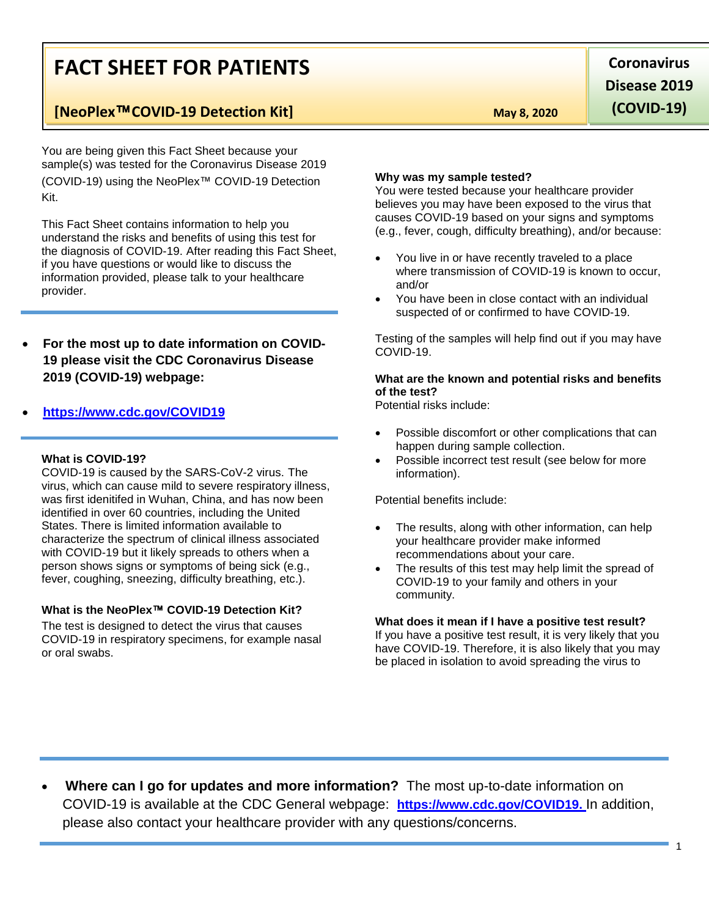# **FACT SHEET FOR PATIENTS**

# **[NeoPlex**™**COVID-19 Detection Kit] May 8, 2020**

You are being given this Fact Sheet because your sample(s) was tested for the Coronavirus Disease 2019 (COVID-19) using the NeoPlex™ COVID-19 Detection Kit.

This Fact Sheet contains information to help you understand the risks and benefits of using this test for the diagnosis of COVID-19. After reading this Fact Sheet, if you have questions or would like to discuss the information provided, please talk to your healthcare provider.

 **For the most up to date information on COVID-19 please visit the CDC Coronavirus Disease 2019 (COVID-19) webpage:**

## **[https://www.cdc.gov/COVID19](https://www.cdc.gov/nCoV)**

#### **What is COVID-19?**

COVID-19 is caused by the SARS-CoV-2 virus. The virus, which can cause mild to severe respiratory illness, was first idenitifed in Wuhan, China, and has now been identified in over 60 countries, including the United States. There is limited information available to characterize the spectrum of clinical illness associated with COVID-19 but it likely spreads to others when a person shows signs or symptoms of being sick (e.g., fever, coughing, sneezing, difficulty breathing, etc.).

## **What is the NeoPlex**™ **COVID-19 Detection Kit?**

The test is designed to detect the virus that causes COVID-19 in respiratory specimens, for example nasal or oral swabs.

**Coronavirus Disease 2019 (COVID-19)**

#### **Why was my sample tested?**

You were tested because your healthcare provider believes you may have been exposed to the virus that causes COVID-19 based on your signs and symptoms (e.g., fever, cough, difficulty breathing), and/or because:

- You live in or have recently traveled to a place where transmission of COVID-19 is known to occur, and/or
- You have been in close contact with an individual suspected of or confirmed to have COVID-19.

Testing of the samples will help find out if you may have COVID-19.

### **What are the known and potential risks and benefits of the test?**

Potential risks include:

- Possible discomfort or other complications that can happen during sample collection.
- Possible incorrect test result (see below for more information).

Potential benefits include:

- The results, along with other information, can help your healthcare provider make informed recommendations about your care.
- The results of this test may help limit the spread of COVID-19 to your family and others in your community.

### **What does it mean if I have a positive test result?**

If you have a positive test result, it is very likely that you have COVID-19. Therefore, it is also likely that you may be placed in isolation to avoid spreading the virus to

 **Where can I go for updates and more information?** The most up-to-date information on COVID-19 is available at the CDC General webpage: **https://www.cdc.gov/COVID19.** In addition, please also contact your healthcare provider with any questions/concerns.